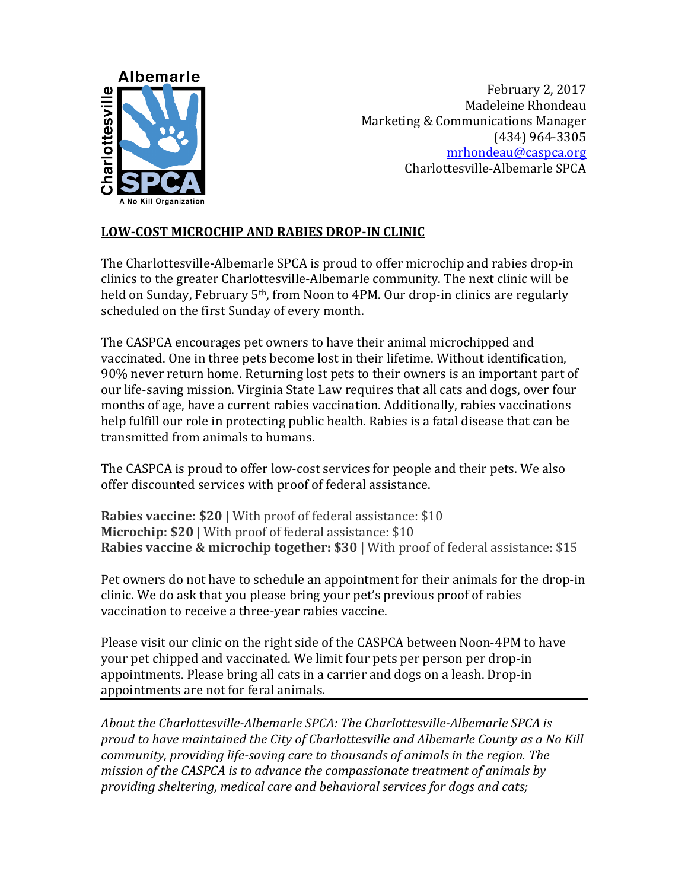

February 2, 2017 Madeleine Rhondeau Marketing & Communications Manager (434) 964-3305 mrhondeau@caspca.org Charlottesville-Albemarle SPCA

## **LOW-COST MICROCHIP AND RABIES DROP-IN CLINIC**

The Charlottesville-Albemarle SPCA is proud to offer microchip and rabies drop-in clinics to the greater Charlottesville-Albemarle community. The next clinic will be held on Sunday, February 5<sup>th</sup>, from Noon to 4PM. Our drop-in clinics are regularly scheduled on the first Sunday of every month.

The CASPCA encourages pet owners to have their animal microchipped and vaccinated. One in three pets become lost in their lifetime. Without identification, 90% never return home. Returning lost pets to their owners is an important part of our life-saving mission. Virginia State Law requires that all cats and dogs, over four months of age, have a current rabies vaccination. Additionally, rabies vaccinations help fulfill our role in protecting public health. Rabies is a fatal disease that can be transmitted from animals to humans.

The CASPCA is proud to offer low-cost services for people and their pets. We also offer discounted services with proof of federal assistance.

**Rabies vaccine: \$20** | With proof of federal assistance: \$10 **Microchip: \$20** | With proof of federal assistance: \$10 **Rabies vaccine & microchip together: \$30 | With proof of federal assistance: \$15** 

Pet owners do not have to schedule an appointment for their animals for the drop-in clinic. We do ask that you please bring your pet's previous proof of rabies vaccination to receive a three-year rabies vaccine.

Please visit our clinic on the right side of the CASPCA between Noon-4PM to have your pet chipped and vaccinated. We limit four pets per person per drop-in appointments. Please bring all cats in a carrier and dogs on a leash. Drop-in appointments are not for feral animals.

About the Charlottesville-Albemarle SPCA: The Charlottesville-Albemarle SPCA is proud to have maintained the City of Charlottesville and Albemarle County as a No Kill *community, providing life-saving care to thousands of animals in the region. The mission of the CASPCA is to advance the compassionate treatment of animals by* providing sheltering, medical care and behavioral services for dogs and cats;